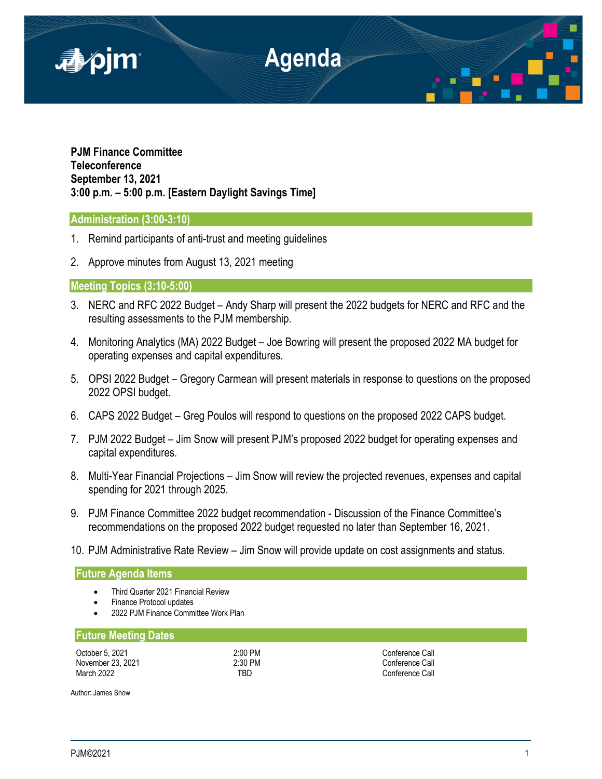

**PJM Finance Committee Teleconference September 13, 2021 3:00 p.m. – 5:00 p.m. [Eastern Daylight Savings Time]**

## **Administration (3:00-3:10)**

- 1. Remind participants of anti-trust and meeting guidelines
- 2. Approve minutes from August 13, 2021 meeting

# **Meeting Topics (3:10-5:00)**

- 3. NERC and RFC 2022 Budget Andy Sharp will present the 2022 budgets for NERC and RFC and the resulting assessments to the PJM membership.
- 4. Monitoring Analytics (MA) 2022 Budget Joe Bowring will present the proposed 2022 MA budget for operating expenses and capital expenditures.
- 5. OPSI 2022 Budget Gregory Carmean will present materials in response to questions on the proposed 2022 OPSI budget.
- 6. CAPS 2022 Budget Greg Poulos will respond to questions on the proposed 2022 CAPS budget.
- 7. PJM 2022 Budget Jim Snow will present PJM's proposed 2022 budget for operating expenses and capital expenditures.
- 8. Multi-Year Financial Projections Jim Snow will review the projected revenues, expenses and capital spending for 2021 through 2025.
- 9. PJM Finance Committee 2022 budget recommendation Discussion of the Finance Committee's recommendations on the proposed 2022 budget requested no later than September 16, 2021.
- 10. PJM Administrative Rate Review Jim Snow will provide update on cost assignments and status.

## **Future Agenda Items**

- Third Quarter 2021 Financial Review
- Finance Protocol updates
- 2022 PJM Finance Committee Work Plan

# **Future Meeting Dates**

| October 5, 2021   |
|-------------------|
| November 23, 2021 |
| March 2022        |

2:00 PM Conference Call 2:30 PM Conference Call TBD Conference Call

Author: James Snow